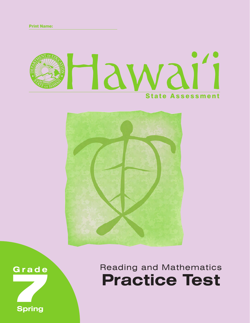





**Spring**

Reading and Mathematics **Practice Test**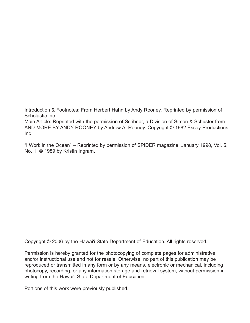Introduction & Footnotes: From Herbert Hahn by Andy Rooney. Reprinted by permission of Scholastic Inc.

Main Article: Reprinted with the permission of Scribner, a Division of Simon & Schuster from AND MORE BY ANDY ROONEY by Andrew A. Rooney. Copyright © 1982 Essay Productions, Inc

"I Work in the Ocean" – Reprinted by permission of SPIDER magazine, January 1998, Vol. 5, No. 1, © 1989 by Kristin Ingram.

Copyright © 2006 by the Hawai'i State Department of Education. All rights reserved.

Permission is hereby granted for the photocopying of complete pages for administrative and/or instructional use and not for resale. Otherwise, no part of this publication may be reproduced or transmitted in any form or by any means, electronic or mechanical, including photocopy, recording, or any information storage and retrieval system, without permission in writing from the Hawai'i State Department of Education.

Portions of this work were previously published.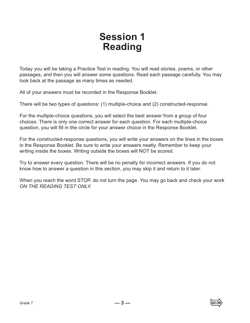## **Session 1 Reading**

Today you will be taking a Practice Test in reading. You will read stories, poems, or other passages, and then you will answer some questions. Read each passage carefully. You may look back at the passage as many times as needed.

All of your answers must be recorded in the Response Booklet.

There will be two types of questions: (1) multiple-choice and (2) constructed-response.

For the multiple-choice questions, you will select the best answer from a group of four choices. There is only one correct answer for each question. For each multiple-choice question, you will fill in the circle for your answer choice in the Response Booklet.

For the constructed-response questions, you will write your answers on the lines in the boxes in the Response Booklet. Be sure to write your answers neatly. Remember to keep your writing inside the boxes. Writing outside the boxes will NOT be scored.

Try to answer every question. There will be no penalty for incorrect answers. If you do not know how to answer a question in this section, you may skip it and return to it later.

When you reach the word STOP, do not turn the page. You may go back and check your work *ON THE READING TEST ONLY.*

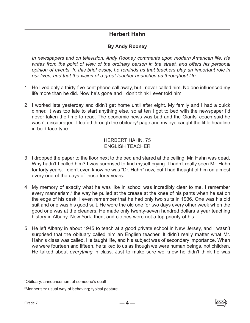## **Herbert Hahn**

## **By Andy Rooney**

*In newspapers and on television, Andy Rooney comments upon modern American life. He writes from the point of view of the ordinary person in the street, and offers his personal opinion of events. In this brief essay, he reminds us that teachers play an important role in our lives, and that the vision of a great teacher nourishes us throughout life.*

- 1 He lived only a thirty-five-cent phone call away, but I never called him. No one influenced my life more than he did. Now he's gone and I don't think I ever told him.
- 2 I worked late yesterday and didn't get home until after eight. My family and I had a quick dinner. It was too late to start anything else, so at ten I got to bed with the newspaper I'd never taken the time to read. The economic news was bad and the Giants' coach said he wasn't discouraged. I leafed through the obituary<sup>1</sup> page and my eye caught the little headline in bold face type:

## HERBERT HAHN, 75 ENGLISH TEACHER

- 3 I dropped the paper to the floor next to the bed and stared at the ceiling. Mr. Hahn was dead. Why hadn't I called him? I was surprised to find myself crying. I hadn't really seen Mr. Hahn for forty years. I didn't even know he was "Dr. Hahn" now, but I had thought of him on almost every one of the days of those forty years.
- 4 My memory of exactly what he was like in school was incredibly clear to me. I remember every mannerism,<sup>2</sup> the way he pulled at the crease at the knee of his pants when he sat on the edge of his desk. I even remember that he had only two suits in 1936. One was his old suit and one was his good suit. He wore the old one for two days every other week when the good one was at the cleaners. He made only twenty-seven hundred dollars a year teaching history in Albany, New York, then, and clothes were not a top priority of his.
- 5 He left Albany in about 1945 to teach at a good private school in New Jersey, and I wasn't surprised that the obituary called him an English teacher. It didn't really matter what Mr. Hahn's class was called. He taught life, and his subject was of secondary importance. When we were fourteen and fifteen, he talked to us as though we were human beings, not children. He talked about *everything* in class. Just to make sure we knew he didn't think he was

<sup>1</sup> Obituary: announcement of someone's death

<sup>2</sup> Mannerism: usual way of behaving; typical gesture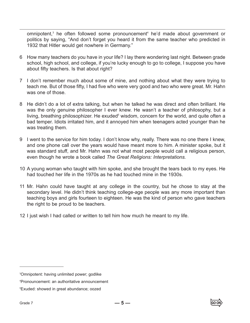omnipotent,<sup>3</sup> he often followed some pronouncement<sup>4</sup> he'd made about government or politics by saying, "And don't forget you heard it from the same teacher who predicted in 1932 that Hitler would get nowhere in Germany."

- 6 How many teachers do you have in your life? I lay there wondering last night. Between grade school, high school, and college, if you're lucky enough to go to college, I suppose you have about fifty teachers. Is that about right?
- 7 I don't remember much about some of mine, and nothing about what they were trying to teach me. But of those fifty, I had five who were very good and two who were great. Mr. Hahn was one of those.
- 8 He didn't do a lot of extra talking, but when he talked he was direct and often brilliant. He was the only genuine philosopher I ever knew. He wasn't a teacher of philosophy, but a living, breathing philosophizer. He exuded<sup>5</sup> wisdom, concern for the world, and quite often a bad temper. Idiots irritated him, and it annoyed him when teenagers acted younger than he was treating them.
- 9 I went to the service for him today. I don't know why, really. There was no one there I knew, and one phone call over the years would have meant more to him. A minister spoke, but it was standard stuff, and Mr. Hahn was not what most people would call a religious person, even though he wrote a book called *The Great Religions: Interpretations.*
- 10 A young woman who taught with him spoke, and she brought the tears back to my eyes. He had touched her life in the 1970s as he had touched mine in the 1930s.
- 11 Mr. Hahn could have taught at any college in the country, but he chose to stay at the secondary level. He didn't think teaching college-age people was any more important than teaching boys and girls fourteen to eighteen. He was the kind of person who gave teachers the right to be proud to be teachers.
- 12 I just wish I had called or written to tell him how much he meant to my life.



<sup>3</sup> Omnipotent: having unlimited power; godlike

<sup>4</sup> Pronouncement: an authoritative announcement

<sup>5</sup> Exuded: showed in great abundance; oozed